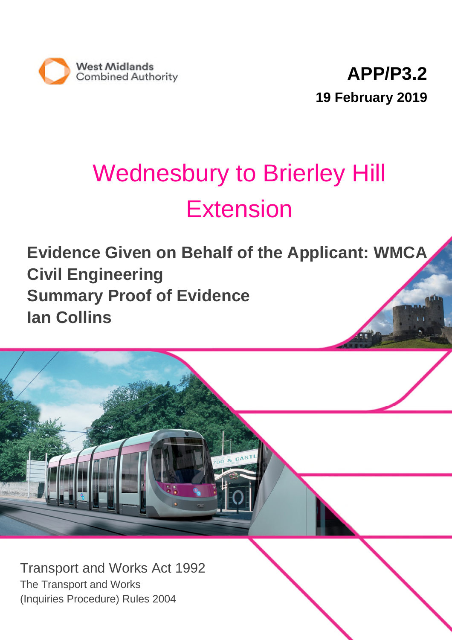

# Wednesbury to Brierley Hill Extension

**Evidence Given on Behalf of the Applicant: WMCA Civil Engineering Summary Proof of Evidence Ian Collins**



Transport and Works Act 1992 The Transport and Works (Inquiries Procedure) Rules 2004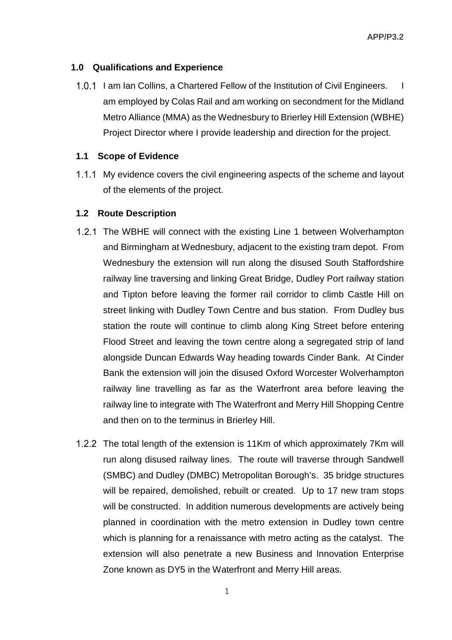# **1.0 Qualifications and Experience**

1.0.1 I am Ian Collins, a Chartered Fellow of the Institution of Civil Engineers. I am employed by Colas Rail and am working on secondment for the Midland Metro Alliance (MMA) as the Wednesbury to Brierley Hill Extension (WBHE) Project Director where I provide leadership and direction for the project.

#### **1.1 Scope of Evidence**

1.1.1 My evidence covers the civil engineering aspects of the scheme and layout of the elements of the project.

## **1.2 Route Description**

- 1.2.1 The WBHE will connect with the existing Line 1 between Wolverhampton and Birmingham at Wednesbury, adjacent to the existing tram depot. From Wednesbury the extension will run along the disused South Staffordshire railway line traversing and linking Great Bridge, Dudley Port railway station and Tipton before leaving the former rail corridor to climb Castle Hill on street linking with Dudley Town Centre and bus station. From Dudley bus station the route will continue to climb along King Street before entering Flood Street and leaving the town centre along a segregated strip of land alongside Duncan Edwards Way heading towards Cinder Bank. At Cinder Bank the extension will join the disused Oxford Worcester Wolverhampton railway line travelling as far as the Waterfront area before leaving the railway line to integrate with The Waterfront and Merry Hill Shopping Centre and then on to the terminus in Brierley Hill.
- 1.2.2 The total length of the extension is 11Km of which approximately 7Km will run along disused railway lines. The route will traverse through Sandwell (SMBC) and Dudley (DMBC) Metropolitan Borough's. 35 bridge structures will be repaired, demolished, rebuilt or created. Up to 17 new tram stops will be constructed. In addition numerous developments are actively being planned in coordination with the metro extension in Dudley town centre which is planning for a renaissance with metro acting as the catalyst. The extension will also penetrate a new Business and Innovation Enterprise Zone known as DY5 in the Waterfront and Merry Hill areas.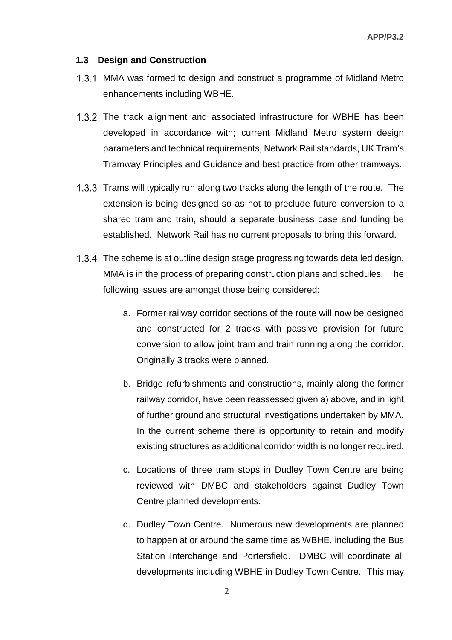#### **1.3 Design and Construction**

- MMA was formed to design and construct a programme of Midland Metro enhancements including WBHE.
- 1.3.2 The track alignment and associated infrastructure for WBHE has been developed in accordance with; current Midland Metro system design parameters and technical requirements, Network Rail standards, UK Tram's Tramway Principles and Guidance and best practice from other tramways.
- 1.3.3 Trams will typically run along two tracks along the length of the route. The extension is being designed so as not to preclude future conversion to a shared tram and train, should a separate business case and funding be established. Network Rail has no current proposals to bring this forward.
- 1.3.4 The scheme is at outline design stage progressing towards detailed design. MMA is in the process of preparing construction plans and schedules. The following issues are amongst those being considered:
	- a. Former railway corridor sections of the route will now be designed and constructed for 2 tracks with passive provision for future conversion to allow joint tram and train running along the corridor. Originally 3 tracks were planned.
	- b. Bridge refurbishments and constructions, mainly along the former railway corridor, have been reassessed given a) above, and in light of further ground and structural investigations undertaken by MMA. In the current scheme there is opportunity to retain and modify existing structures as additional corridor width is no longer required.
	- c. Locations of three tram stops in Dudley Town Centre are being reviewed with DMBC and stakeholders against Dudley Town Centre planned developments.
	- d. Dudley Town Centre. Numerous new developments are planned to happen at or around the same time as WBHE, including the Bus Station Interchange and Portersfield. DMBC will coordinate all developments including WBHE in Dudley Town Centre. This may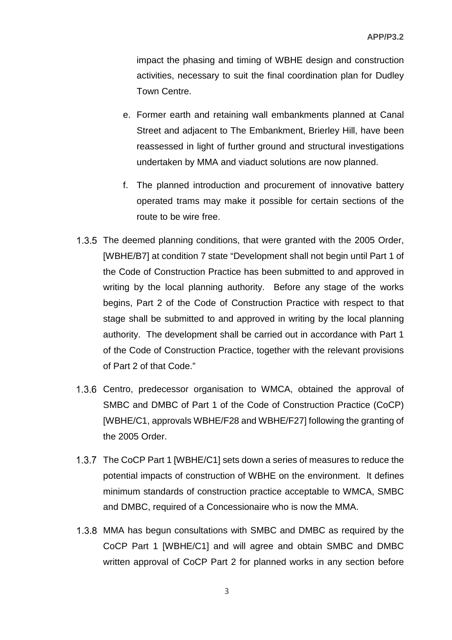impact the phasing and timing of WBHE design and construction activities, necessary to suit the final coordination plan for Dudley Town Centre.

- e. Former earth and retaining wall embankments planned at Canal Street and adjacent to The Embankment, Brierley Hill, have been reassessed in light of further ground and structural investigations undertaken by MMA and viaduct solutions are now planned.
- f. The planned introduction and procurement of innovative battery operated trams may make it possible for certain sections of the route to be wire free.
- 1.3.5 The deemed planning conditions, that were granted with the 2005 Order, [WBHE/B7] at condition 7 state "Development shall not begin until Part 1 of the Code of Construction Practice has been submitted to and approved in writing by the local planning authority. Before any stage of the works begins, Part 2 of the Code of Construction Practice with respect to that stage shall be submitted to and approved in writing by the local planning authority. The development shall be carried out in accordance with Part 1 of the Code of Construction Practice, together with the relevant provisions of Part 2 of that Code."
- 1.3.6 Centro, predecessor organisation to WMCA, obtained the approval of SMBC and DMBC of Part 1 of the Code of Construction Practice (CoCP) [WBHE/C1, approvals WBHE/F28 and WBHE/F27] following the granting of the 2005 Order.
- 1.3.7 The CoCP Part 1 [WBHE/C1] sets down a series of measures to reduce the potential impacts of construction of WBHE on the environment. It defines minimum standards of construction practice acceptable to WMCA, SMBC and DMBC, required of a Concessionaire who is now the MMA.
- MMA has begun consultations with SMBC and DMBC as required by the CoCP Part 1 [WBHE/C1] and will agree and obtain SMBC and DMBC written approval of CoCP Part 2 for planned works in any section before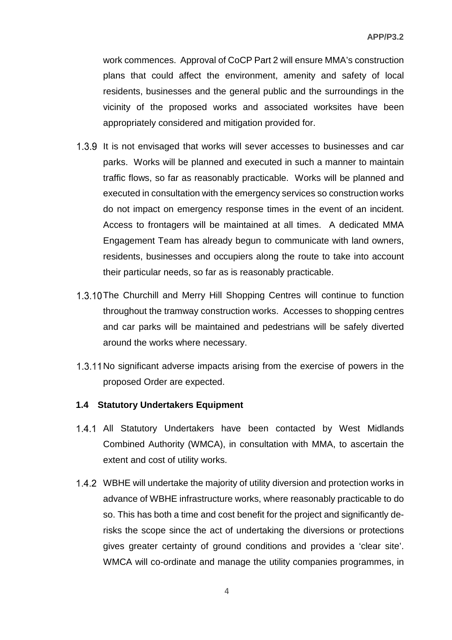work commences. Approval of CoCP Part 2 will ensure MMA's construction plans that could affect the environment, amenity and safety of local residents, businesses and the general public and the surroundings in the vicinity of the proposed works and associated worksites have been appropriately considered and mitigation provided for.

- 1.3.9 It is not envisaged that works will sever accesses to businesses and car parks. Works will be planned and executed in such a manner to maintain traffic flows, so far as reasonably practicable. Works will be planned and executed in consultation with the emergency services so construction works do not impact on emergency response times in the event of an incident. Access to frontagers will be maintained at all times. A dedicated MMA Engagement Team has already begun to communicate with land owners, residents, businesses and occupiers along the route to take into account their particular needs, so far as is reasonably practicable.
- 1.3.10 The Churchill and Merry Hill Shopping Centres will continue to function throughout the tramway construction works. Accesses to shopping centres and car parks will be maintained and pedestrians will be safely diverted around the works where necessary.
- 1.3.11 No significant adverse impacts arising from the exercise of powers in the proposed Order are expected.

#### **1.4 Statutory Undertakers Equipment**

- All Statutory Undertakers have been contacted by West Midlands Combined Authority (WMCA), in consultation with MMA, to ascertain the extent and cost of utility works.
- WBHE will undertake the majority of utility diversion and protection works in advance of WBHE infrastructure works, where reasonably practicable to do so. This has both a time and cost benefit for the project and significantly derisks the scope since the act of undertaking the diversions or protections gives greater certainty of ground conditions and provides a 'clear site'. WMCA will co-ordinate and manage the utility companies programmes, in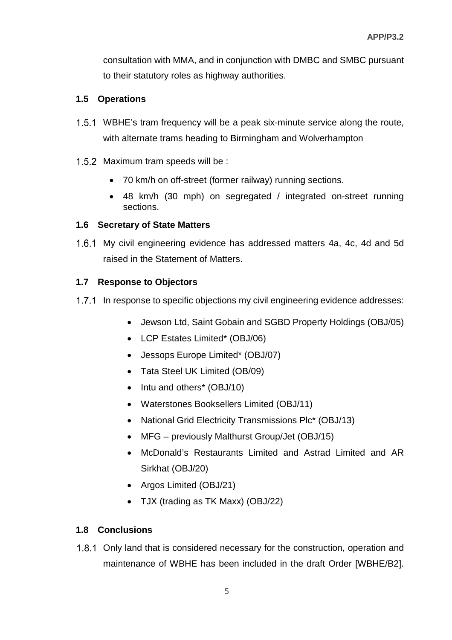consultation with MMA, and in conjunction with DMBC and SMBC pursuant to their statutory roles as highway authorities.

## **1.5 Operations**

- WBHE's tram frequency will be a peak six-minute service along the route, with alternate trams heading to Birmingham and Wolverhampton
- 1.5.2 Maximum tram speeds will be :
	- 70 km/h on off-street (former railway) running sections.
	- 48 km/h (30 mph) on segregated / integrated on-street running sections.

## **1.6 Secretary of State Matters**

1.6.1 My civil engineering evidence has addressed matters 4a, 4c, 4d and 5d raised in the Statement of Matters.

## **1.7 Response to Objectors**

- 1.7.1 In response to specific objections my civil engineering evidence addresses:
	- Jewson Ltd, Saint Gobain and SGBD Property Holdings (OBJ/05)
	- LCP Estates Limited\* (OBJ/06)
	- Jessops Europe Limited\* (OBJ/07)
	- Tata Steel UK Limited (OB/09)
	- Intu and others\* (OBJ/10)
	- Waterstones Booksellers Limited (OBJ/11)
	- National Grid Electricity Transmissions Plc\* (OBJ/13)
	- MFG previously Malthurst Group/Jet (OBJ/15)
	- McDonald's Restaurants Limited and Astrad Limited and AR Sirkhat (OBJ/20)
	- Argos Limited (OBJ/21)
	- TJX (trading as TK Maxx) (OBJ/22)

#### **1.8 Conclusions**

1.8.1 Only land that is considered necessary for the construction, operation and maintenance of WBHE has been included in the draft Order [WBHE/B2].